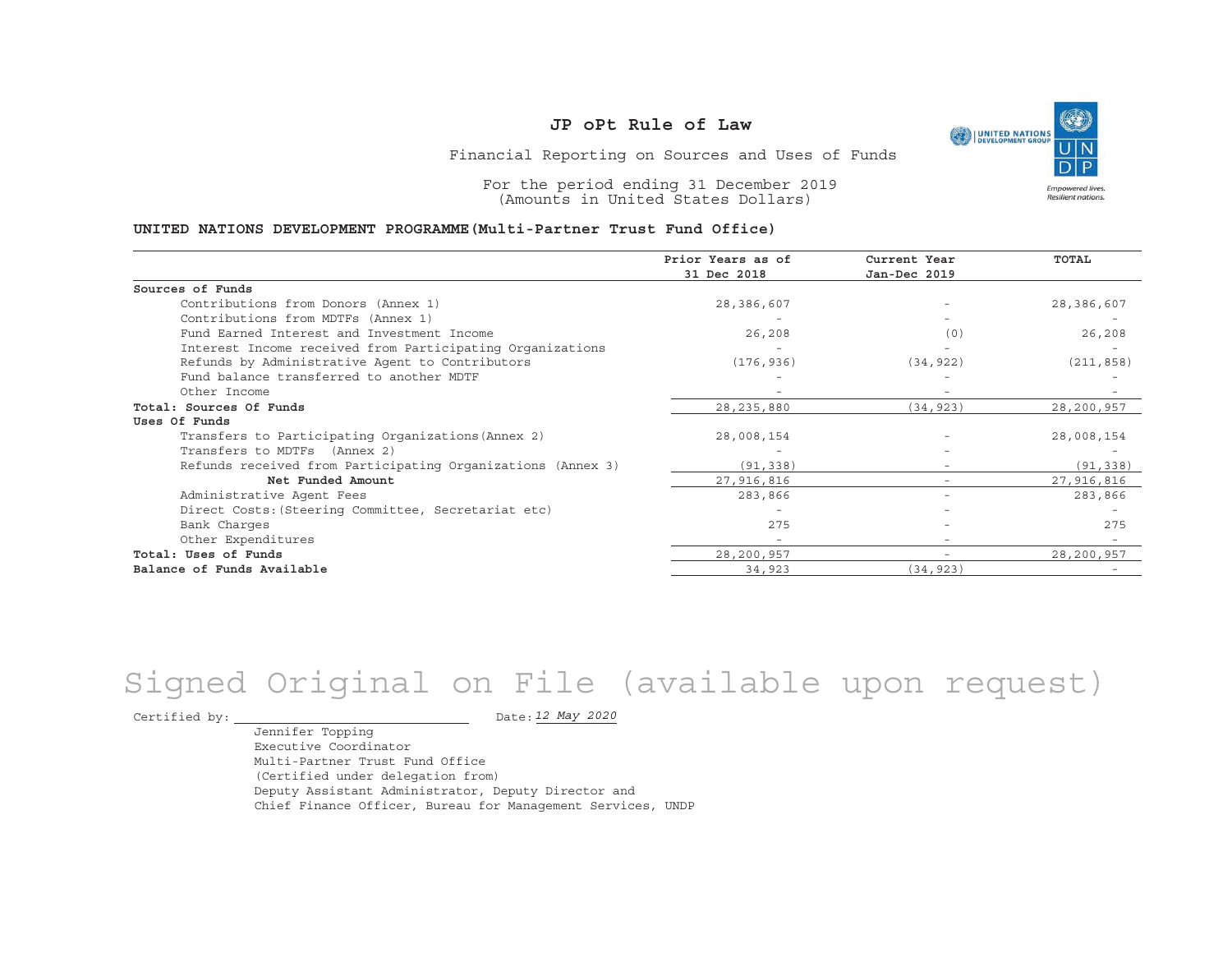

Financial Reporting on Sources and Uses of Funds

For the period ending 31 December 2019 (Amounts in United States Dollars)

#### **UNITED NATIONS DEVELOPMENT PROGRAMME(Multi-Partner Trust Fund Office)**

|                                                             | Prior Years as of<br>31 Dec 2018 | Current Year<br>Jan-Dec 2019 | TOTAL        |
|-------------------------------------------------------------|----------------------------------|------------------------------|--------------|
|                                                             |                                  |                              |              |
| Sources of Funds                                            |                                  |                              |              |
| Contributions from Donors (Annex 1)                         | 28,386,607                       |                              | 28,386,607   |
| Contributions from MDTFs (Annex 1)                          |                                  |                              |              |
| Fund Earned Interest and Investment Income                  | 26,208                           | (0)                          | 26,208       |
| Interest Income received from Participating Organizations   |                                  |                              |              |
| Refunds by Administrative Agent to Contributors             | (176, 936)                       | (34, 922)                    | (211, 858)   |
| Fund balance transferred to another MDTF                    |                                  |                              |              |
| Other Income                                                |                                  |                              |              |
| Total: Sources Of Funds                                     | 28, 235, 880                     | (34, 923)                    | 28,200,957   |
| Uses Of Funds                                               |                                  |                              |              |
| Transfers to Participating Organizations (Annex 2)          | 28,008,154                       |                              | 28,008,154   |
| Transfers to MDTFs (Annex 2)                                |                                  |                              |              |
| Refunds received from Participating Organizations (Annex 3) | (91, 338)                        | $\overline{\phantom{a}}$     | (91, 338)    |
| Net Funded Amount                                           | 27, 916, 816                     |                              | 27, 916, 816 |
| Administrative Agent Fees                                   | 283,866                          | $\overline{\phantom{a}}$     | 283,866      |
| Direct Costs: (Steering Committee, Secretariat etc)         |                                  |                              |              |
| Bank Charges                                                | 275                              |                              | 275          |
| Other Expenditures                                          | -                                | $\overline{\phantom{a}}$     |              |
| Total: Uses of Funds                                        | 28,200,957                       | $\overline{\phantom{a}}$     | 28,200,957   |
| Balance of Funds Available                                  | 34,923                           | (34, 923)                    |              |

## Signed Original on File (available upon request)

Certified by:  $\overline{\phantom{a}}$ 

*12 May 2020*

Jennifer Topping Executive CoordinatorMulti-Partner Trust Fund Office(Certified under delegation from) Deputy Assistant Administrator, Deputy Director and Chief Finance Officer, Bureau for Management Services, UNDP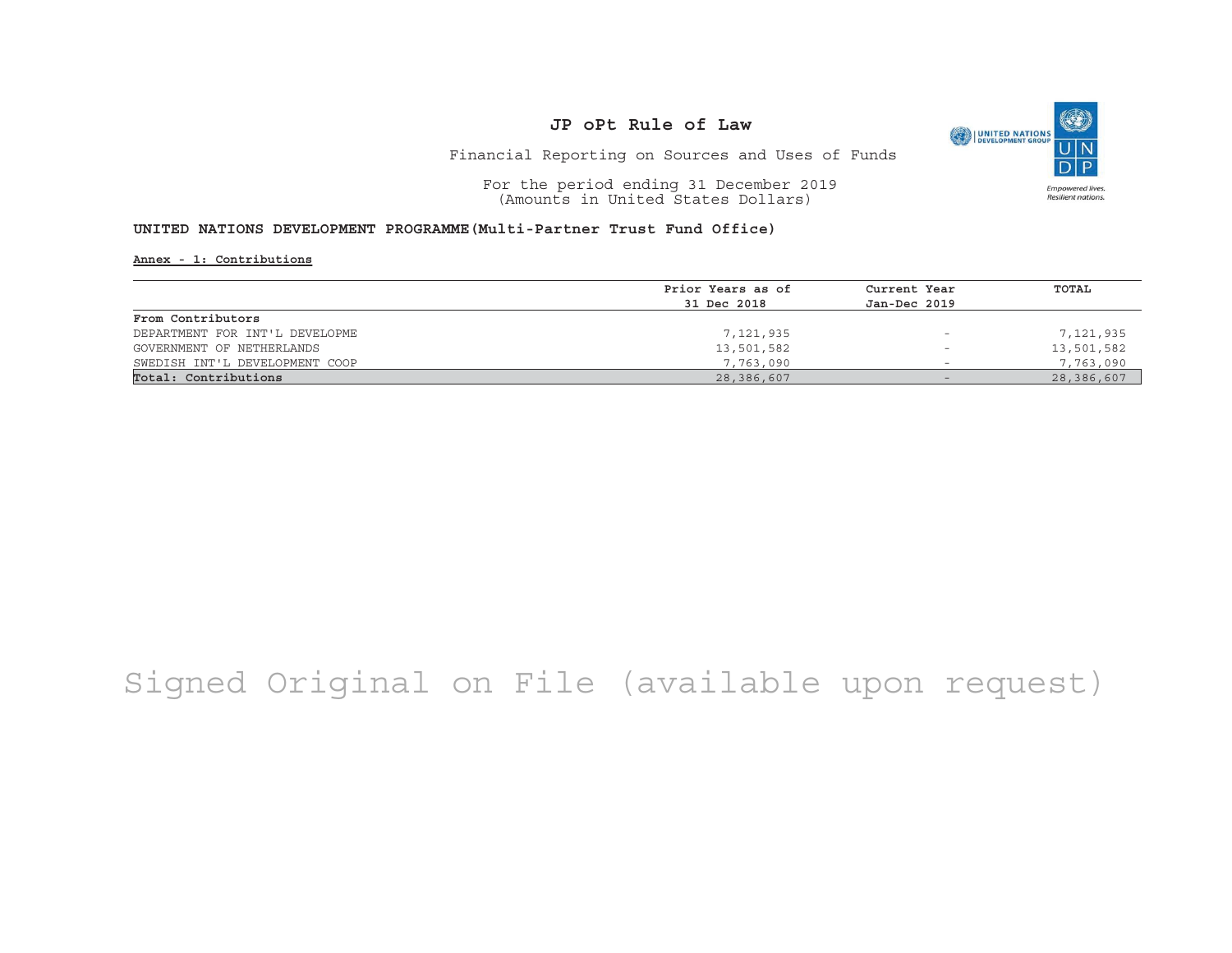

Financial Reporting on Sources and Uses of Funds

For the period ending 31 December 2019 (Amounts in United States Dollars)

#### **UNITED NATIONS DEVELOPMENT PROGRAMME(Multi-Partner Trust Fund Office)**

**Annex - 1: Contributions**

|                                | Prior Years as of | Current Year             | TOTAL      |
|--------------------------------|-------------------|--------------------------|------------|
|                                | 31 Dec 2018       | Jan-Dec 2019             |            |
| From Contributors              |                   |                          |            |
| DEPARTMENT FOR INT'L DEVELOPME | 7,121,935         | $\overline{\phantom{0}}$ | 7,121,935  |
| GOVERNMENT OF NETHERLANDS      | 13,501,582        | $\overline{\phantom{0}}$ | 13,501,582 |
| SWEDISH INT'L DEVELOPMENT COOP | 7,763,090         | $\overline{\phantom{0}}$ | 7,763,090  |
| Total: Contributions           | 28,386,607        |                          | 28,386,607 |
|                                |                   |                          |            |

# Signed Original on File (available upon request)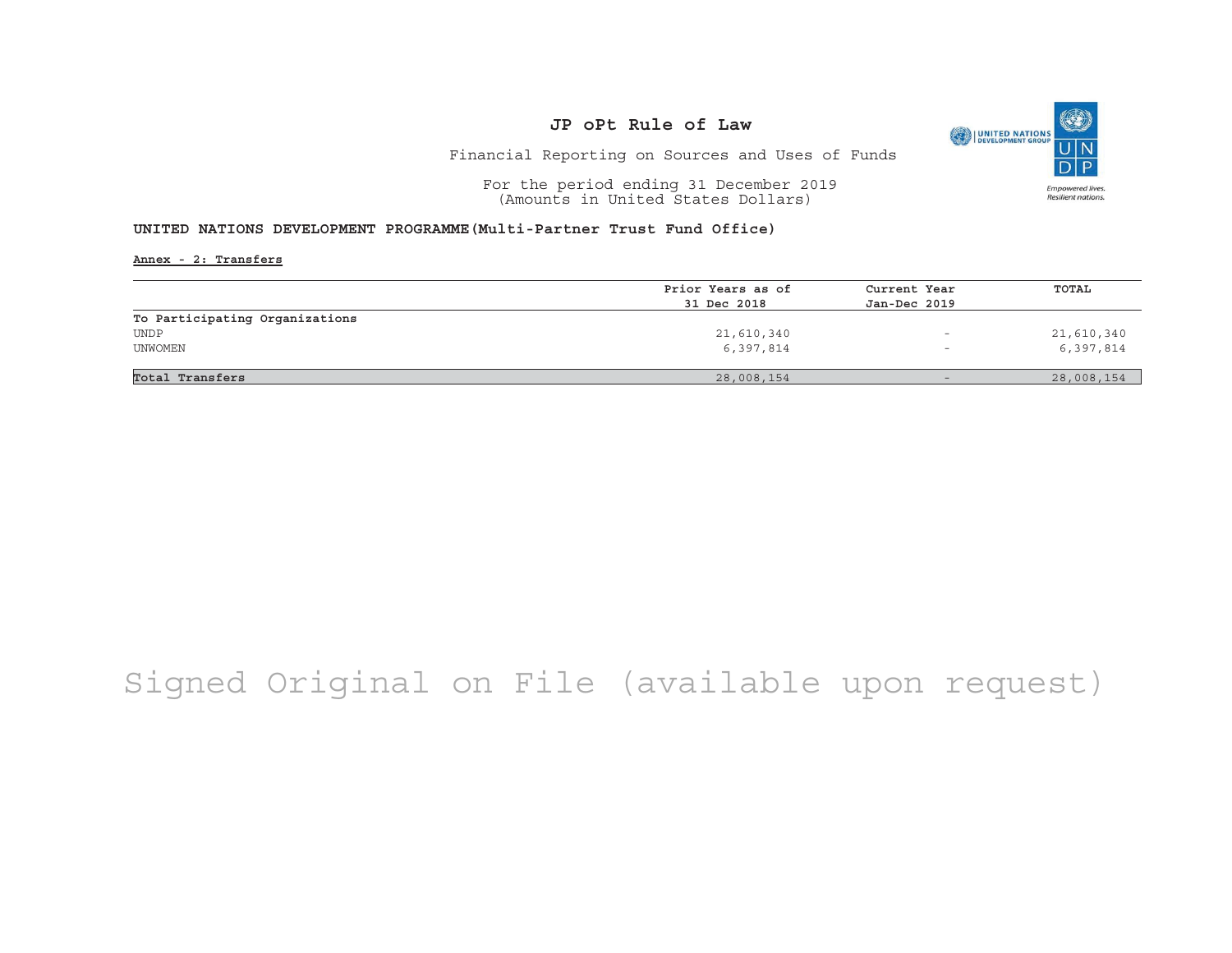

Financial Reporting on Sources and Uses of Funds

For the period ending 31 December 2019 (Amounts in United States Dollars)

#### **UNITED NATIONS DEVELOPMENT PROGRAMME(Multi-Partner Trust Fund Office)**

**Annex - 2: Transfers**

|                                | Prior Years as of | Current Year             | TOTAL      |
|--------------------------------|-------------------|--------------------------|------------|
|                                | 31 Dec 2018       | Jan-Dec 2019             |            |
| To Participating Organizations |                   |                          |            |
| <b>UNDP</b>                    | 21,610,340        | $\overline{\phantom{a}}$ | 21,610,340 |
| UNWOMEN                        | 6,397,814         | $\overline{\phantom{0}}$ | 6,397,814  |
|                                |                   |                          |            |
| Total Transfers                | 28,008,154        | $\qquad \qquad -$        | 28,008,154 |

# Signed Original on File (available upon request)